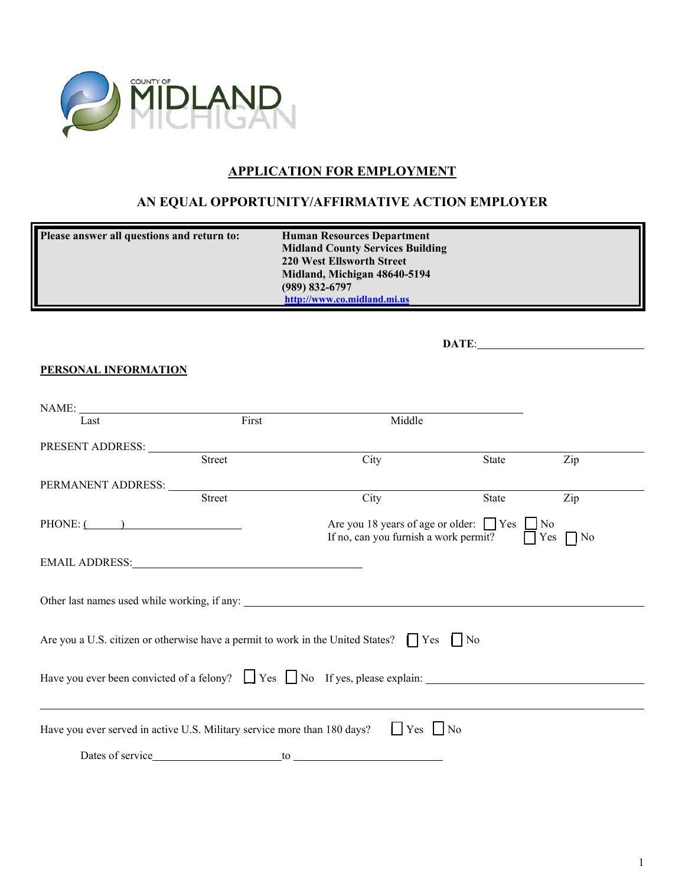

## **APPLICATION FOR EMPLOYMENT**

## **AN EQUAL OPPORTUNITY/AFFIRMATIVE ACTION EMPLOYER**

| <b>Human Resources Department</b>       |
|-----------------------------------------|
| <b>Midland County Services Building</b> |
| 220 West Ellsworth Street               |
| Midland, Michigan 48640-5194            |
| $(989) 832 - 6797$                      |
| http://www.co.midland.mi.us             |
|                                         |

|                                                                          | DATE:  |                                                                                                                                                                                                                                |       |     |
|--------------------------------------------------------------------------|--------|--------------------------------------------------------------------------------------------------------------------------------------------------------------------------------------------------------------------------------|-------|-----|
| PERSONAL INFORMATION                                                     |        |                                                                                                                                                                                                                                |       |     |
|                                                                          |        |                                                                                                                                                                                                                                |       |     |
| Last                                                                     | First  | Middle                                                                                                                                                                                                                         |       |     |
|                                                                          |        |                                                                                                                                                                                                                                |       |     |
|                                                                          | Street | City                                                                                                                                                                                                                           | State | Zip |
| PERMANENT ADDRESS: University of the PERMANENT ADDRESS:                  |        |                                                                                                                                                                                                                                |       |     |
|                                                                          | Street | City                                                                                                                                                                                                                           | State | Zip |
| $PHONE:$ $\qquad \qquad$                                                 |        | Are you 18 years of age or older: $\Box$ Yes $\Box$ No<br>If no, can you furnish a work permit? $\Box$ Yes $\Box$ No                                                                                                           |       |     |
| EMAIL ADDRESS: University of the SAN ANDRESS:                            |        |                                                                                                                                                                                                                                |       |     |
|                                                                          |        |                                                                                                                                                                                                                                |       |     |
|                                                                          |        | Are you a U.S. citizen or otherwise have a permit to work in the United States? $\Box$ Yes $\Box$ No                                                                                                                           |       |     |
|                                                                          |        | Have you ever been convicted of a felony? $\Box$ Yes $\Box$ No If yes, please explain:                                                                                                                                         |       |     |
| Have you ever served in active U.S. Military service more than 180 days? |        | $ $ $ $ Yes $ $ No                                                                                                                                                                                                             |       |     |
|                                                                          |        | to the contract of the contract of the contract of the contract of the contract of the contract of the contract of the contract of the contract of the contract of the contract of the contract of the contract of the contrac |       |     |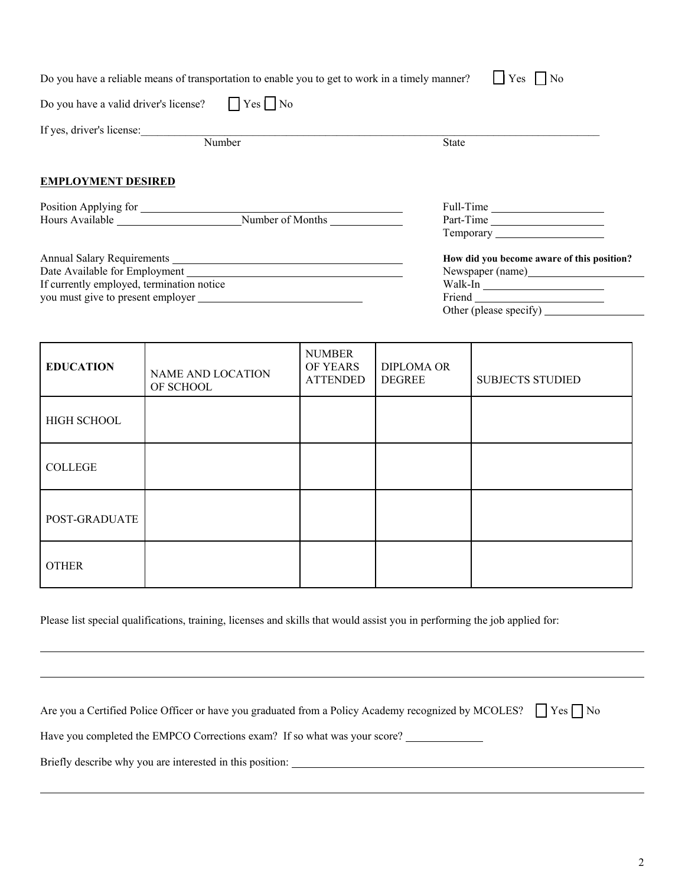|                                                            | Do you have a reliable means of transportation to enable you to get to work in a timely manner? | $ $   Yes     No                           |
|------------------------------------------------------------|-------------------------------------------------------------------------------------------------|--------------------------------------------|
| Do you have a valid driver's license? $\Box$ Yes $\Box$ No |                                                                                                 |                                            |
|                                                            | If yes, driver's license:                                                                       |                                            |
|                                                            | Number                                                                                          | <b>State</b>                               |
| <b>EMPLOYMENT DESIRED</b>                                  |                                                                                                 |                                            |
| Position Applying for                                      |                                                                                                 | Full-Time                                  |
|                                                            | Hours Available Number of Months                                                                | Part-Time                                  |
|                                                            |                                                                                                 |                                            |
|                                                            |                                                                                                 | How did you become aware of this position? |
|                                                            |                                                                                                 |                                            |
| If currently employed, termination notice                  |                                                                                                 | Walk-In                                    |
|                                                            | you must give to present employer                                                               |                                            |
|                                                            |                                                                                                 |                                            |
|                                                            |                                                                                                 |                                            |

| <b>EDUCATION</b> | NAME AND LOCATION<br>OF SCHOOL | <b>NUMBER</b><br>OF YEARS<br><b>ATTENDED</b> | <b>DIPLOMA OR</b><br><b>DEGREE</b> | <b>SUBJECTS STUDIED</b> |
|------------------|--------------------------------|----------------------------------------------|------------------------------------|-------------------------|
| HIGH SCHOOL      |                                |                                              |                                    |                         |
| <b>COLLEGE</b>   |                                |                                              |                                    |                         |
| POST-GRADUATE    |                                |                                              |                                    |                         |
| <b>OTHER</b>     |                                |                                              |                                    |                         |

Please list special qualifications, training, licenses and skills that would assist you in performing the job applied for:

| Are you a Certified Police Officer or have you graduated from a Policy Academy recognized by MCOLES? $\Box$ Yes $\Box$ No |  |
|---------------------------------------------------------------------------------------------------------------------------|--|
| Have you completed the EMPCO Corrections exam? If so what was your score?                                                 |  |

Briefly describe why you are interested in this position:

l

l

l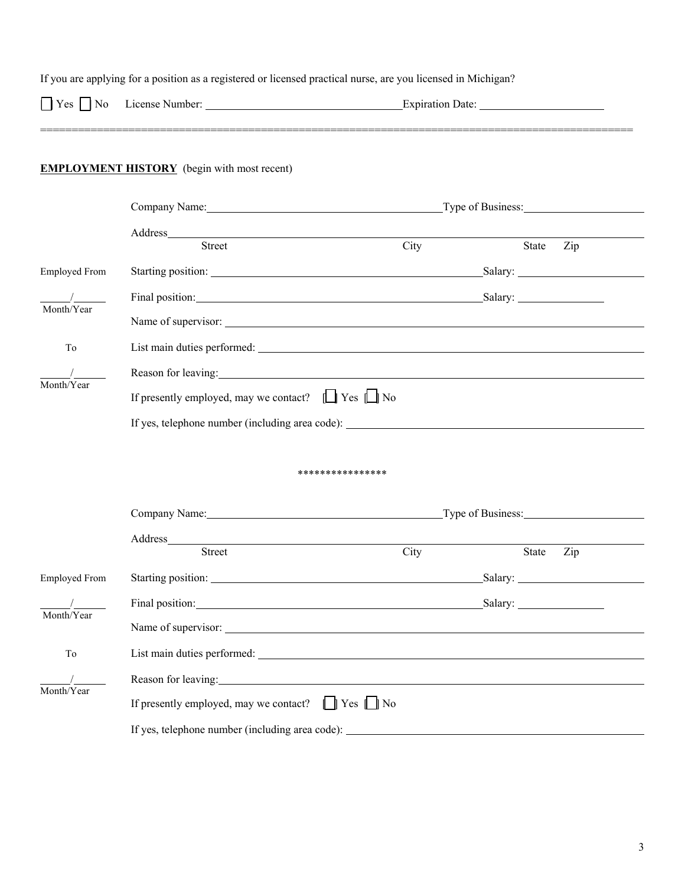| $ $ Yes $ $ No       |                                                                                                                                                                                                                                                                          |                      |                   |  |
|----------------------|--------------------------------------------------------------------------------------------------------------------------------------------------------------------------------------------------------------------------------------------------------------------------|----------------------|-------------------|--|
|                      | <b>EMPLOYMENT HISTORY</b> (begin with most recent)                                                                                                                                                                                                                       |                      |                   |  |
|                      | Company Name: Type of Business: Type of Business:                                                                                                                                                                                                                        |                      |                   |  |
|                      | Street                                                                                                                                                                                                                                                                   | City                 |                   |  |
|                      |                                                                                                                                                                                                                                                                          |                      | Zip<br>State      |  |
| <b>Employed From</b> |                                                                                                                                                                                                                                                                          |                      |                   |  |
| Month/Year           | Final position: Salary: Salary:                                                                                                                                                                                                                                          |                      |                   |  |
|                      |                                                                                                                                                                                                                                                                          |                      |                   |  |
| To                   |                                                                                                                                                                                                                                                                          |                      |                   |  |
| Month/Year           | Reason for leaving: the contract of the contract of the contract of the contract of the contract of the contract of the contract of the contract of the contract of the contract of the contract of the contract of the contra                                           |                      |                   |  |
|                      | If presently employed, may we contact? $\Box$ Yes $\Box$ No                                                                                                                                                                                                              |                      |                   |  |
|                      | If yes, telephone number (including area code): ________________________________                                                                                                                                                                                         |                      |                   |  |
|                      |                                                                                                                                                                                                                                                                          | ****************     |                   |  |
|                      | Company Name: Name:                                                                                                                                                                                                                                                      |                      | Type of Business: |  |
|                      | Address_<br><b>Street</b>                                                                                                                                                                                                                                                | City                 | State<br>Zip      |  |
| <b>Employed From</b> |                                                                                                                                                                                                                                                                          |                      |                   |  |
|                      | Final position: Note that the set of the set of the set of the set of the set of the set of the set of the set of the set of the set of the set of the set of the set of the set of the set of the set of the set of the set o                                           |                      |                   |  |
| Month/Year           |                                                                                                                                                                                                                                                                          |                      |                   |  |
|                      |                                                                                                                                                                                                                                                                          |                      |                   |  |
|                      |                                                                                                                                                                                                                                                                          |                      |                   |  |
| To                   |                                                                                                                                                                                                                                                                          |                      |                   |  |
| Month/Year           | Reason for leaving: example and the set of the set of the set of the set of the set of the set of the set of the set of the set of the set of the set of the set of the set of the set of the set of the set of the set of the<br>If presently employed, may we contact? | $\Box$ Yes $\Box$ No |                   |  |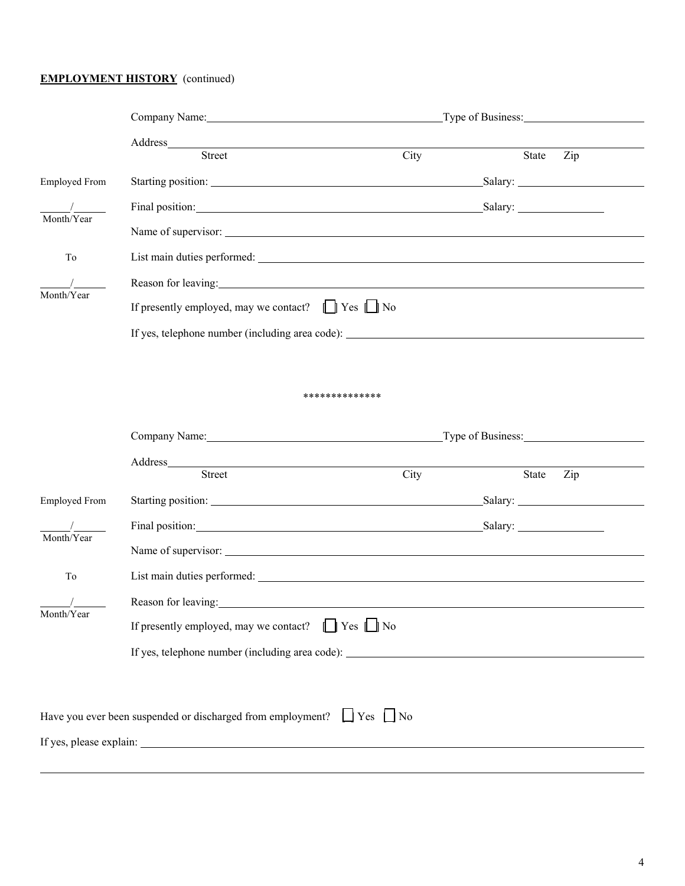### **EMPLOYMENT HISTORY** (continued)

l

|                      | Company Name: Name:                                                                                                                                                                                                            | Type of Business:                                                                                                    |           |     |  |
|----------------------|--------------------------------------------------------------------------------------------------------------------------------------------------------------------------------------------------------------------------------|----------------------------------------------------------------------------------------------------------------------|-----------|-----|--|
|                      | Address_______                                                                                                                                                                                                                 | <u> 1980 - Jan Samuel Barbara, martin da shekara 1980 - An tsa a tsa a tsa a tsa a tsa a tsa a tsa a tsa a tsa a</u> |           |     |  |
|                      | Street                                                                                                                                                                                                                         | City                                                                                                                 | State     | Zip |  |
| <b>Employed From</b> |                                                                                                                                                                                                                                |                                                                                                                      |           |     |  |
| Month/Year           | Final position: Salary: Salary:                                                                                                                                                                                                |                                                                                                                      |           |     |  |
|                      |                                                                                                                                                                                                                                |                                                                                                                      |           |     |  |
| To                   |                                                                                                                                                                                                                                |                                                                                                                      |           |     |  |
|                      | Reason for leaving: the contract of the contract of the contract of the contract of the contract of the contract of the contract of the contract of the contract of the contract of the contract of the contract of the contra |                                                                                                                      |           |     |  |
| Month/Year           | If presently employed, may we contact? $\Box$ Yes $\Box$ No                                                                                                                                                                    |                                                                                                                      |           |     |  |
|                      | If yes, telephone number (including area code): ________________________________                                                                                                                                               |                                                                                                                      |           |     |  |
|                      |                                                                                                                                                                                                                                |                                                                                                                      |           |     |  |
|                      |                                                                                                                                                                                                                                |                                                                                                                      |           |     |  |
|                      |                                                                                                                                                                                                                                | **************                                                                                                       |           |     |  |
|                      | Company Name: Name:<br>Type of Business:                                                                                                                                                                                       |                                                                                                                      |           |     |  |
|                      | Address and the contract of the contract of the contract of the contract of the contract of the contract of the contract of the contract of the contract of the contract of the contract of the contract of the contract of th |                                                                                                                      |           |     |  |
|                      | Street                                                                                                                                                                                                                         | City                                                                                                                 | State Zip |     |  |
| <b>Employed From</b> | Starting position: Manual Communication of the Starting position:                                                                                                                                                              |                                                                                                                      |           |     |  |
| Month/Year           | Final position: Salary: Salary: Salary: Salary: Salary: Salary: Salary: Salary: Salary: Salary: Salary: Salary: Salary: Salary: Salary: Salary: Salary: Salary: Salary: Salary: Salary: Salary: Salary: Salary: Salary: Salary |                                                                                                                      |           |     |  |
|                      | Name of supervisor:                                                                                                                                                                                                            |                                                                                                                      |           |     |  |
| To                   |                                                                                                                                                                                                                                |                                                                                                                      |           |     |  |
|                      | Reason for leaving:                                                                                                                                                                                                            |                                                                                                                      |           |     |  |
| Month/Year           | If presently employed, may we contact? $\Box$ Yes $\Box$ No                                                                                                                                                                    |                                                                                                                      |           |     |  |
|                      | If yes, telephone number (including area code): ________________________________                                                                                                                                               |                                                                                                                      |           |     |  |
|                      |                                                                                                                                                                                                                                |                                                                                                                      |           |     |  |
|                      |                                                                                                                                                                                                                                |                                                                                                                      |           |     |  |
|                      | Have you ever been suspended or discharged from employment? $\Box$ Yes $\Box$ No                                                                                                                                               |                                                                                                                      |           |     |  |
|                      |                                                                                                                                                                                                                                |                                                                                                                      |           |     |  |
|                      |                                                                                                                                                                                                                                |                                                                                                                      |           |     |  |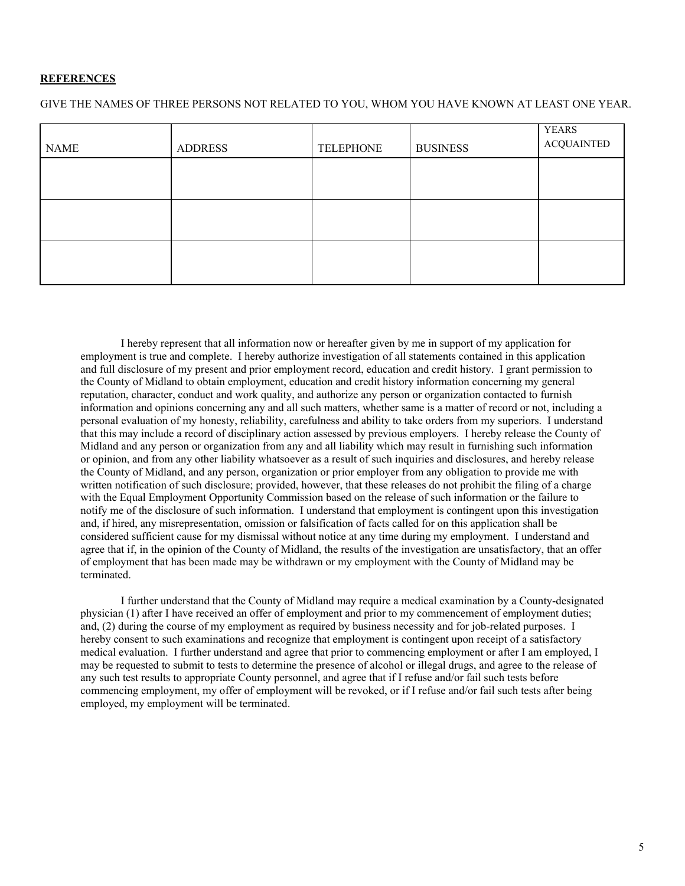#### **REFERENCES**

GIVE THE NAMES OF THREE PERSONS NOT RELATED TO YOU, WHOM YOU HAVE KNOWN AT LEAST ONE YEAR.

| <b>NAME</b> | <b>ADDRESS</b> | <b>TELEPHONE</b> | <b>BUSINESS</b> | <b>YEARS</b><br><b>ACQUAINTED</b> |
|-------------|----------------|------------------|-----------------|-----------------------------------|
|             |                |                  |                 |                                   |
|             |                |                  |                 |                                   |
|             |                |                  |                 |                                   |
|             |                |                  |                 |                                   |

 I hereby represent that all information now or hereafter given by me in support of my application for employment is true and complete. I hereby authorize investigation of all statements contained in this application and full disclosure of my present and prior employment record, education and credit history. I grant permission to the County of Midland to obtain employment, education and credit history information concerning my general reputation, character, conduct and work quality, and authorize any person or organization contacted to furnish information and opinions concerning any and all such matters, whether same is a matter of record or not, including a personal evaluation of my honesty, reliability, carefulness and ability to take orders from my superiors. I understand that this may include a record of disciplinary action assessed by previous employers. I hereby release the County of Midland and any person or organization from any and all liability which may result in furnishing such information or opinion, and from any other liability whatsoever as a result of such inquiries and disclosures, and hereby release the County of Midland, and any person, organization or prior employer from any obligation to provide me with written notification of such disclosure; provided, however, that these releases do not prohibit the filing of a charge with the Equal Employment Opportunity Commission based on the release of such information or the failure to notify me of the disclosure of such information. I understand that employment is contingent upon this investigation and, if hired, any misrepresentation, omission or falsification of facts called for on this application shall be considered sufficient cause for my dismissal without notice at any time during my employment. I understand and agree that if, in the opinion of the County of Midland, the results of the investigation are unsatisfactory, that an offer of employment that has been made may be withdrawn or my employment with the County of Midland may be terminated.

 I further understand that the County of Midland may require a medical examination by a County-designated physician (1) after I have received an offer of employment and prior to my commencement of employment duties; and, (2) during the course of my employment as required by business necessity and for job-related purposes. I hereby consent to such examinations and recognize that employment is contingent upon receipt of a satisfactory medical evaluation. I further understand and agree that prior to commencing employment or after I am employed, I may be requested to submit to tests to determine the presence of alcohol or illegal drugs, and agree to the release of any such test results to appropriate County personnel, and agree that if I refuse and/or fail such tests before commencing employment, my offer of employment will be revoked, or if I refuse and/or fail such tests after being employed, my employment will be terminated.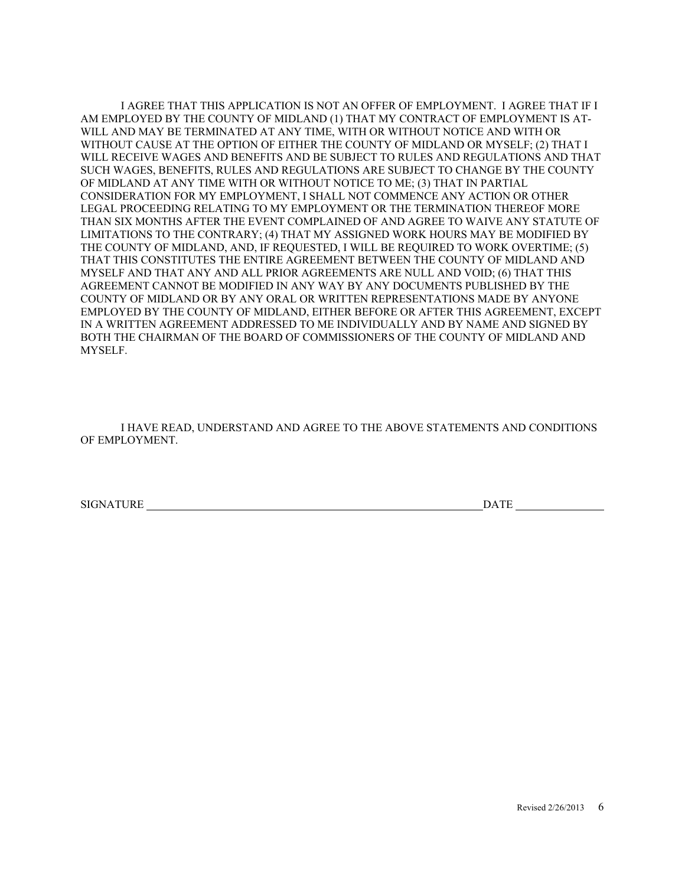I AGREE THAT THIS APPLICATION IS NOT AN OFFER OF EMPLOYMENT. I AGREE THAT IF I AM EMPLOYED BY THE COUNTY OF MIDLAND (1) THAT MY CONTRACT OF EMPLOYMENT IS AT-WILL AND MAY BE TERMINATED AT ANY TIME, WITH OR WITHOUT NOTICE AND WITH OR WITHOUT CAUSE AT THE OPTION OF EITHER THE COUNTY OF MIDLAND OR MYSELF; (2) THAT I WILL RECEIVE WAGES AND BENEFITS AND BE SUBJECT TO RULES AND REGULATIONS AND THAT SUCH WAGES, BENEFITS, RULES AND REGULATIONS ARE SUBJECT TO CHANGE BY THE COUNTY OF MIDLAND AT ANY TIME WITH OR WITHOUT NOTICE TO ME; (3) THAT IN PARTIAL CONSIDERATION FOR MY EMPLOYMENT, I SHALL NOT COMMENCE ANY ACTION OR OTHER LEGAL PROCEEDING RELATING TO MY EMPLOYMENT OR THE TERMINATION THEREOF MORE THAN SIX MONTHS AFTER THE EVENT COMPLAINED OF AND AGREE TO WAIVE ANY STATUTE OF LIMITATIONS TO THE CONTRARY; (4) THAT MY ASSIGNED WORK HOURS MAY BE MODIFIED BY THE COUNTY OF MIDLAND, AND, IF REQUESTED, I WILL BE REQUIRED TO WORK OVERTIME; (5) THAT THIS CONSTITUTES THE ENTIRE AGREEMENT BETWEEN THE COUNTY OF MIDLAND AND MYSELF AND THAT ANY AND ALL PRIOR AGREEMENTS ARE NULL AND VOID; (6) THAT THIS AGREEMENT CANNOT BE MODIFIED IN ANY WAY BY ANY DOCUMENTS PUBLISHED BY THE COUNTY OF MIDLAND OR BY ANY ORAL OR WRITTEN REPRESENTATIONS MADE BY ANYONE EMPLOYED BY THE COUNTY OF MIDLAND, EITHER BEFORE OR AFTER THIS AGREEMENT, EXCEPT IN A WRITTEN AGREEMENT ADDRESSED TO ME INDIVIDUALLY AND BY NAME AND SIGNED BY BOTH THE CHAIRMAN OF THE BOARD OF COMMISSIONERS OF THE COUNTY OF MIDLAND AND MYSELF.

I HAVE READ, UNDERSTAND AND AGREE TO THE ABOVE STATEMENTS AND CONDITIONS OF EMPLOYMENT.

SIGNATURE DATE